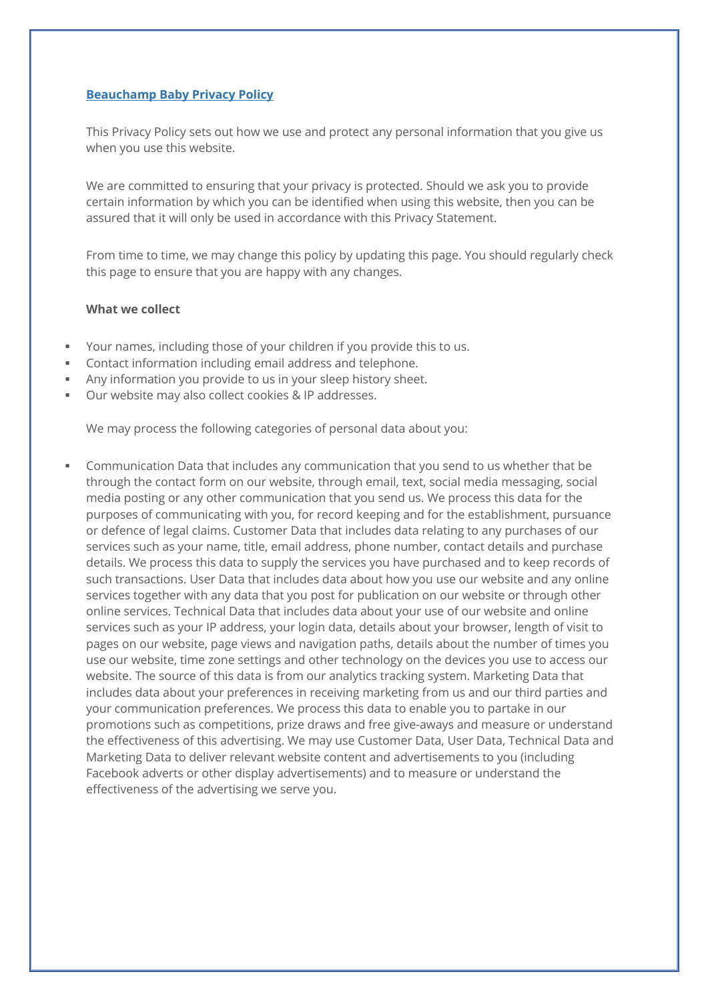#### **Beauchamp Baby Privacy Policy**

This Privacy Policy sets out how we use and protect any personal information that you give us when you use this website.

We are committed to ensuring that your privacy is protected. Should we ask you to provide certain information by which you can be identified when using this website, then you can be assured that it will only be used in accordance with this Privacy Statement.

From time to time, we may change this policy by updating this page. You should regularly check this page to ensure that you are happy with any changes.

### **What we collect**

- § Your names, including those of your children if you provide this to us.
- § Contact information including email address and telephone.
- § Any information you provide to us in your sleep history sheet.
- § Our website may also collect cookies & IP addresses.

We may process the following categories of personal data about you:

§ Communication Data that includes any communication that you send to us whether that be through the contact form on our website, through email, text, social media messaging, social media posting or any other communication that you send us. We process this data for the purposes of communicating with you, for record keeping and for the establishment, pursuance or defence of legal claims. Customer Data that includes data relating to any purchases of our services such as your name, title, email address, phone number, contact details and purchase details. We process this data to supply the services you have purchased and to keep records of such transactions. User Data that includes data about how you use our website and any online services together with any data that you post for publication on our website or through other online services. Technical Data that includes data about your use of our website and online services such as your IP address, your login data, details about your browser, length of visit to pages on our website, page views and navigation paths, details about the number of times you use our website, time zone settings and other technology on the devices you use to access our website. The source of this data is from our analytics tracking system. Marketing Data that includes data about your preferences in receiving marketing from us and our third parties and your communication preferences. We process this data to enable you to partake in our promotions such as competitions, prize draws and free give-aways and measure or understand the effectiveness of this advertising. We may use Customer Data, User Data, Technical Data and Marketing Data to deliver relevant website content and advertisements to you (including Facebook adverts or other display advertisements) and to measure or understand the effectiveness of the advertising we serve you.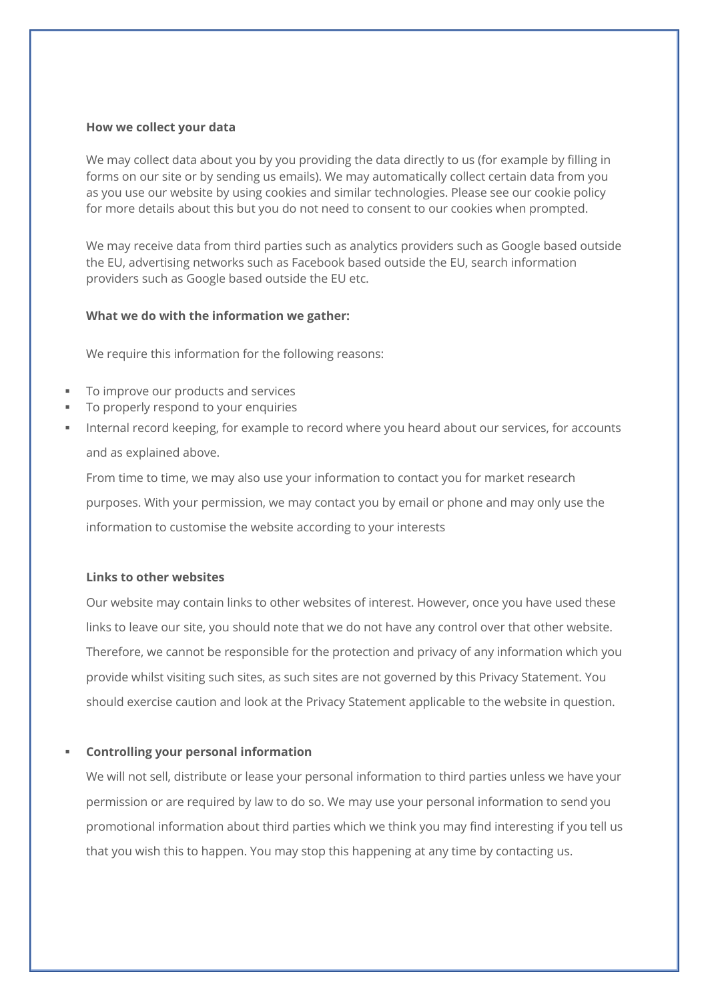### **How we collect your data**

We may collect data about you by you providing the data directly to us (for example by filling in forms on our site or by sending us emails). We may automatically collect certain data from you as you use our website by using cookies and similar technologies. Please see our cookie policy for more details about this but you do not need to consent to our cookies when prompted.

We may receive data from third parties such as analytics providers such as Google based outside the EU, advertising networks such as Facebook based outside the EU, search information providers such as Google based outside the EU etc.

#### **What we do with the information we gather:**

We require this information for the following reasons:

- § To improve our products and services
- To properly respond to your enquiries
- Internal record keeping, for example to record where you heard about our services, for accounts and as explained above.

From time to time, we may also use your information to contact you for market research purposes. With your permission, we may contact you by email or phone and may only use the information to customise the website according to your interests

### **Links to other websites**

Our website may contain links to other websites of interest. However, once you have used these links to leave our site, you should note that we do not have any control over that other website. Therefore, we cannot be responsible for the protection and privacy of any information which you provide whilst visiting such sites, as such sites are not governed by this Privacy Statement. You should exercise caution and look at the Privacy Statement applicable to the website in question.

### § **Controlling your personal information**

We will not sell, distribute or lease your personal information to third parties unless we have your permission or are required by law to do so. We may use your personal information to send you promotional information about third parties which we think you may find interesting if you tell us that you wish this to happen. You may stop this happening at any time by contacting us.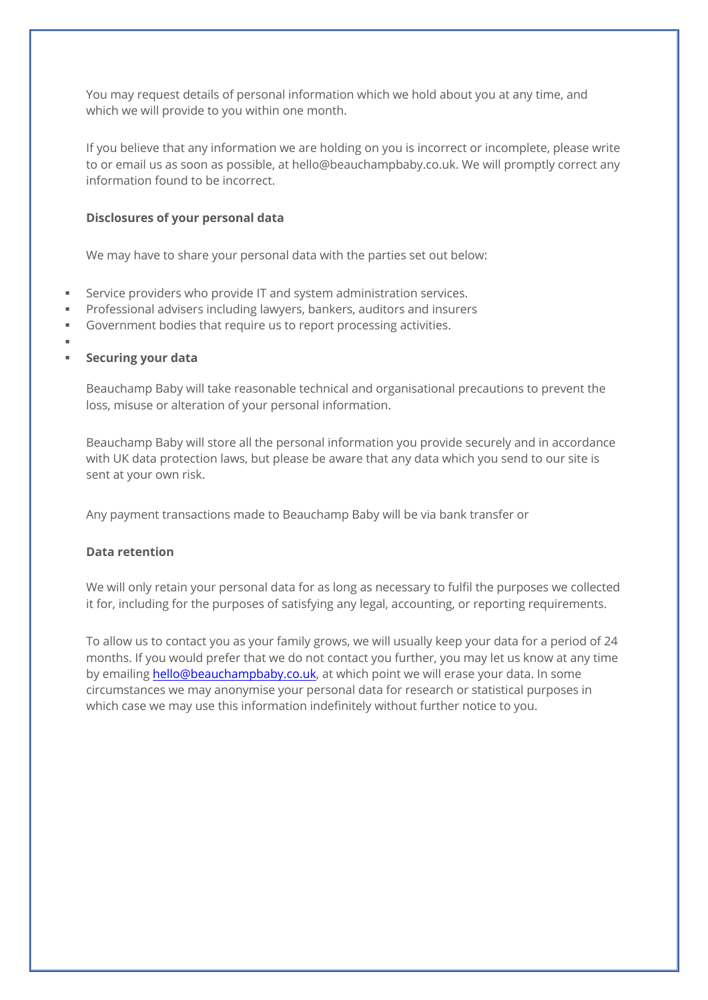You may request details of personal information which we hold about you at any time, and which we will provide to you within one month.

If you believe that any information we are holding on you is incorrect or incomplete, please write to or email us as soon as possible, at hello@beauchampbaby.co.uk. We will promptly correct any information found to be incorrect.

### **Disclosures of your personal data**

We may have to share your personal data with the parties set out below:

- § Service providers who provide IT and system administration services.
- § Professional advisers including lawyers, bankers, auditors and insurers
- § Government bodies that require us to report processing activities.
- §

# § **Securing your data**

Beauchamp Baby will take reasonable technical and organisational precautions to prevent the loss, misuse or alteration of your personal information.

Beauchamp Baby will store all the personal information you provide securely and in accordance with UK data protection laws, but please be aware that any data which you send to our site is sent at your own risk.

Any payment transactions made to Beauchamp Baby will be via bank transfer or

### **Data retention**

We will only retain your personal data for as long as necessary to fulfil the purposes we collected it for, including for the purposes of satisfying any legal, accounting, or reporting requirements.

To allow us to contact you as your family grows, we will usually keep your data for a period of 24 months. If you would prefer that we do not contact you further, you may let us know at any time by emailing hello@beauchampbaby.co.uk, at which point we will erase your data. In some circumstances we may anonymise your personal data for research or statistical purposes in which case we may use this information indefinitely without further notice to you.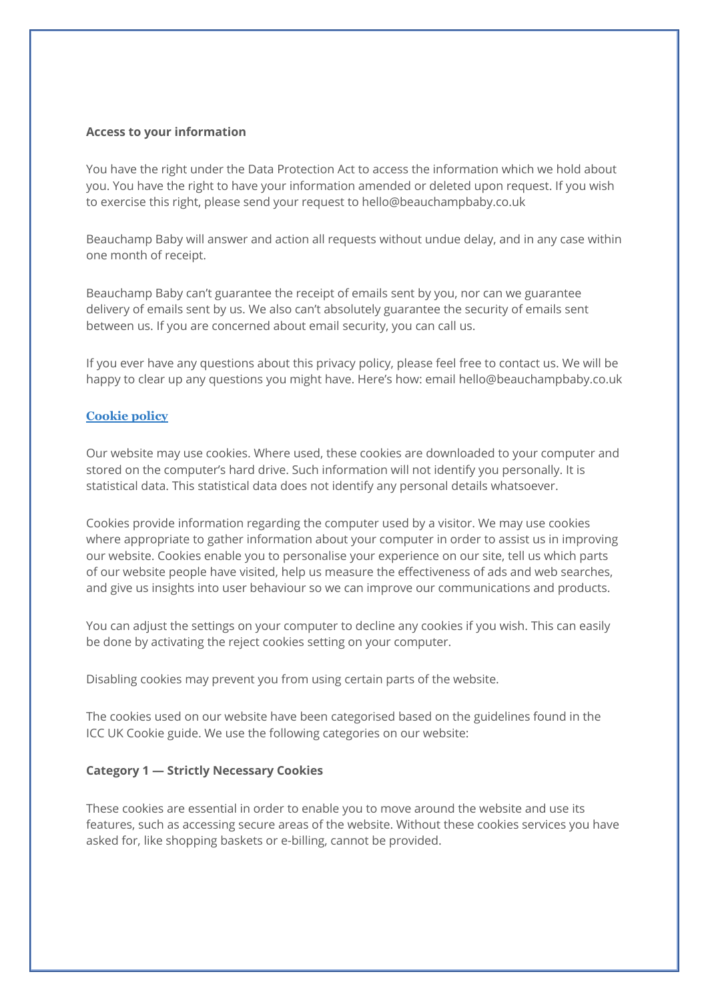### **Access to your information**

You have the right under the Data Protection Act to access the information which we hold about you. You have the right to have your information amended or deleted upon request. If you wish to exercise this right, please send your request to hello@beauchampbaby.co.uk

Beauchamp Baby will answer and action all requests without undue delay, and in any case within one month of receipt.

Beauchamp Baby can't guarantee the receipt of emails sent by you, nor can we guarantee delivery of emails sent by us. We also can't absolutely guarantee the security of emails sent between us. If you are concerned about email security, you can call us.

If you ever have any questions about this privacy policy, please feel free to contact us. We will be happy to clear up any questions you might have. Here's how: email hello@beauchampbaby.co.uk

# **Cookie policy**

Our website may use cookies. Where used, these cookies are downloaded to your computer and stored on the computer's hard drive. Such information will not identify you personally. It is statistical data. This statistical data does not identify any personal details whatsoever.

Cookies provide information regarding the computer used by a visitor. We may use cookies where appropriate to gather information about your computer in order to assist us in improving our website. Cookies enable you to personalise your experience on our site, tell us which parts of our website people have visited, help us measure the effectiveness of ads and web searches, and give us insights into user behaviour so we can improve our communications and products.

You can adjust the settings on your computer to decline any cookies if you wish. This can easily be done by activating the reject cookies setting on your computer.

Disabling cookies may prevent you from using certain parts of the website.

The cookies used on our website have been categorised based on the guidelines found in the ICC UK Cookie guide. We use the following categories on our website:

### **Category 1 — Strictly Necessary Cookies**

These cookies are essential in order to enable you to move around the website and use its features, such as accessing secure areas of the website. Without these cookies services you have asked for, like shopping baskets or e-billing, cannot be provided.